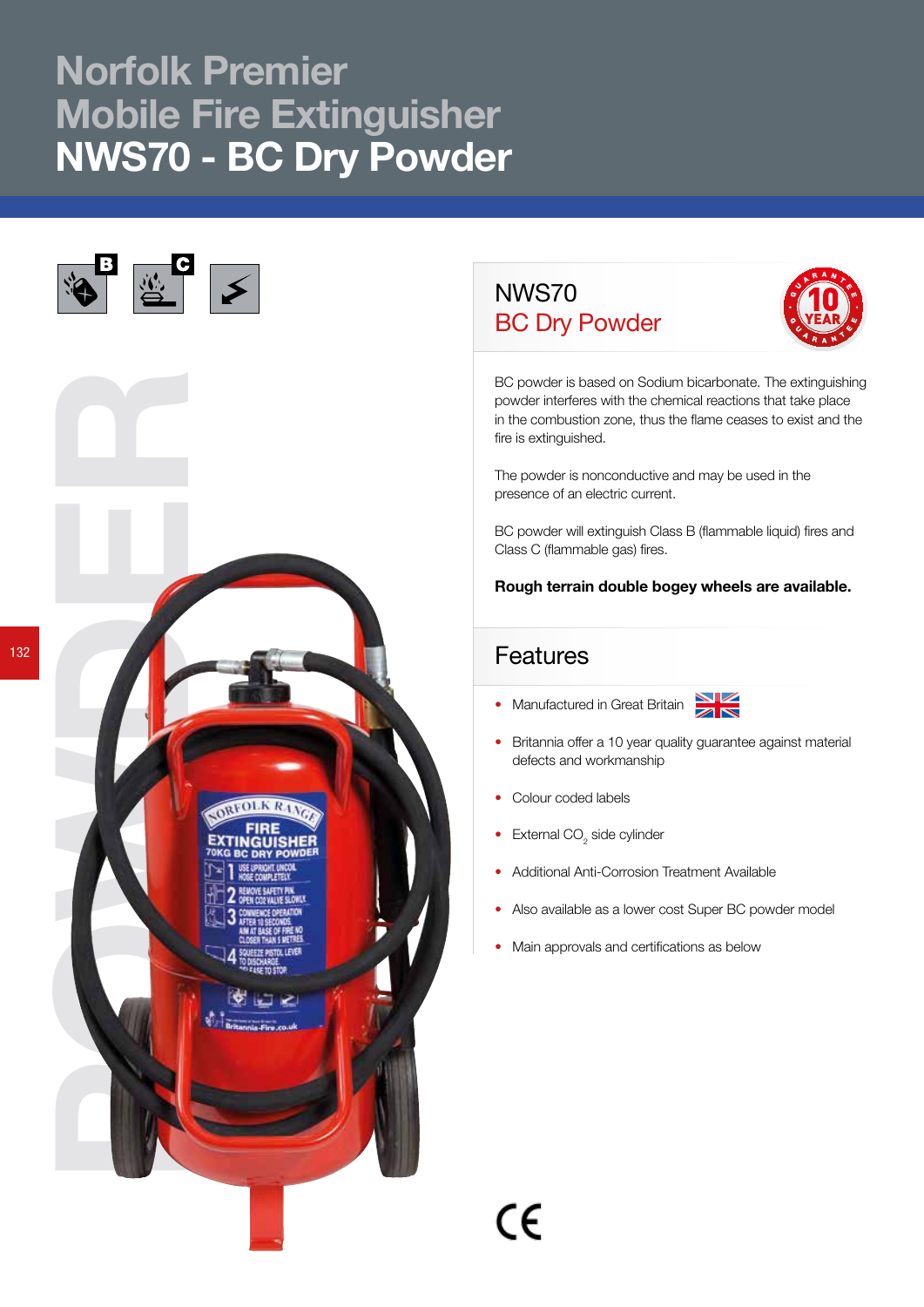## Norfolk Premier Mobile Fire Extinguisher NWS70 - BC Dry Powder



## NWS70 BC Dry Powder



BC powder is based on Sodium bicarbonate. The extinguishing powder interferes with the chemical reactions that take place in the combustion zone, thus the flame ceases to exist and the fire is extinguished.

The powder is nonconductive and may be used in the presence of an electric current.

BC powder will extinguish Class B (flammable liquid) fires and Class C (flammable gas) fires.

Rough terrain double bogey wheels are available.

## Features

• Manufactured in Great Britain



- Britannia offer a 10 year quality guarantee against material defects and workmanship
- Colour coded labels
- External  $CO<sub>2</sub>$  side cylinder
- Additional Anti-Corrosion Treatment Available
- Also available as a lower cost Super BC powder model
- Main approvals and certifications as below